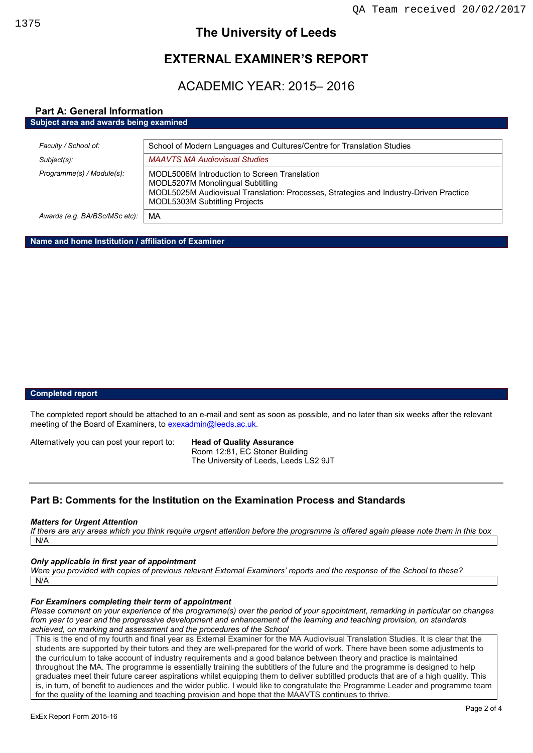## **The University of Leeds**

# **EXTERNAL EXAMINER'S REPORT**

# ACADEMIC YEAR: 2015– 2016

## **Part A: General Information**

**Subject area and awards being examined**

| Faculty / School of:          | School of Modern Languages and Cultures/Centre for Translation Studies                                                                                                                                            |
|-------------------------------|-------------------------------------------------------------------------------------------------------------------------------------------------------------------------------------------------------------------|
| Subject(s):                   | <b>MAAVTS MA Audiovisual Studies</b>                                                                                                                                                                              |
| Programme(s) / Module(s):     | MODL5006M Introduction to Screen Translation<br>MODL5207M Monolingual Subtitling<br>MODL5025M Audiovisual Translation: Processes, Strategies and Industry-Driven Practice<br><b>MODL5303M Subtitling Projects</b> |
| Awards (e.g. BA/BSc/MSc etc): | MA                                                                                                                                                                                                                |

**Name and home Institution / affiliation of Examiner**

## **Completed report**

The completed report should be attached to an e-mail and sent as soon as possible, and no later than six weeks after the relevant meeting of the Board of Examiners, t[o exexadmin@leeds.ac.uk.](mailto:exexadmin@leeds.ac.uk)

Alternatively you can post your report to: **Head of Quality Assurance**

Room 12:81, EC Stoner Building The University of Leeds, Leeds LS2 9JT

## **Part B: Comments for the Institution on the Examination Process and Standards**

#### *Matters for Urgent Attention*

*If there are any areas which you think require urgent attention before the programme is offered again please note them in this box* N/A

## *Only applicable in first year of appointment*

*Were you provided with copies of previous relevant External Examiners' reports and the response of the School to these?*  N/A

#### *For Examiners completing their term of appointment*

*Please comment on your experience of the programme(s) over the period of your appointment, remarking in particular on changes from year to year and the progressive development and enhancement of the learning and teaching provision, on standards achieved, on marking and assessment and the procedures of the School*

This is the end of my fourth and final year as External Examiner for the MA Audiovisual Translation Studies. It is clear that the students are supported by their tutors and they are well-prepared for the world of work. There have been some adjustments to the curriculum to take account of industry requirements and a good balance between theory and practice is maintained throughout the MA. The programme is essentially training the subtitlers of the future and the programme is designed to help graduates meet their future career aspirations whilst equipping them to deliver subtitled products that are of a high quality. This is, in turn, of benefit to audiences and the wider public. I would like to congratulate the Programme Leader and programme team for the quality of the learning and teaching provision and hope that the MAAVTS continues to thrive.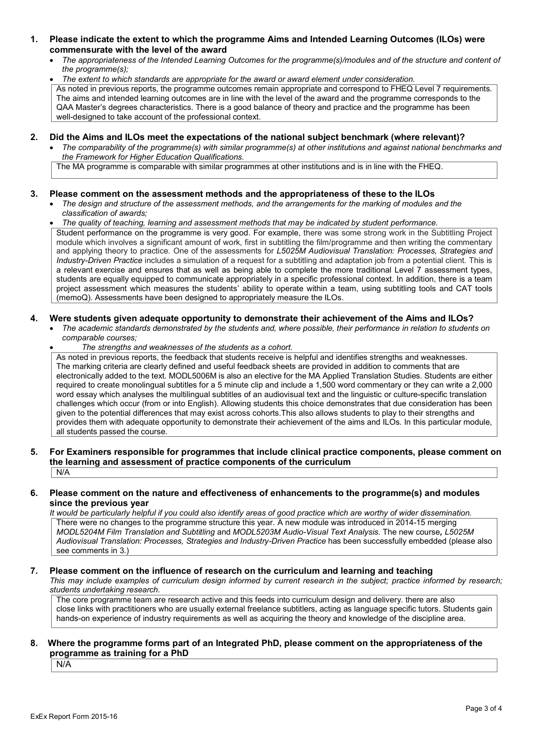- **1. Please indicate the extent to which the programme Aims and Intended Learning Outcomes (ILOs) were commensurate with the level of the award**
	- *The appropriateness of the Intended Learning Outcomes for the programme(s)/modules and of the structure and content of the programme(s);*

*The extent to which standards are appropriate for the award or award element under consideration.*

As noted in previous reports, the programme outcomes remain appropriate and correspond to FHEQ Level 7 requirements. The aims and intended learning outcomes are in line with the level of the award and the programme corresponds to the QAA Master's degrees characteristics. There is a good balance of theory and practice and the programme has been well-designed to take account of the professional context.

## **2. Did the Aims and ILOs meet the expectations of the national subject benchmark (where relevant)?**

 *The comparability of the programme(s) with similar programme(s) at other institutions and against national benchmarks and the Framework for Higher Education Qualifications.*

The MA programme is comparable with similar programmes at other institutions and is in line with the FHEQ.

#### **3. Please comment on the assessment methods and the appropriateness of these to the ILOs**

- *The design and structure of the assessment methods, and the arrangements for the marking of modules and the classification of awards;*
- *The quality of teaching, learning and assessment methods that may be indicated by student performance.*

Student performance on the programme is very good. For example, there was some strong work in the Subtitling Project module which involves a significant amount of work, first in subtitling the film/programme and then writing the commentary and applying theory to practice. One of the assessments for *L5025M Audiovisual Translation: Processes, Strategies and Industry-Driven Practice* includes a simulation of a request for a subtitling and adaptation job from a potential client. This is a relevant exercise and ensures that as well as being able to complete the more traditional Level 7 assessment types, students are equally equipped to communicate appropriately in a specific professional context. In addition, there is a team project assessment which measures the students' ability to operate within a team, using subtitling tools and CAT tools (memoQ). Assessments have been designed to appropriately measure the ILOs.

#### **4. Were students given adequate opportunity to demonstrate their achievement of the Aims and ILOs?**

- *The academic standards demonstrated by the students and, where possible, their performance in relation to students on comparable courses;* 
	- *The strengths and weaknesses of the students as a cohort.*

As noted in previous reports, the feedback that students receive is helpful and identifies strengths and weaknesses. The marking criteria are clearly defined and useful feedback sheets are provided in addition to comments that are electronically added to the text. MODL5006M is also an elective for the MA Applied Translation Studies. Students are either required to create monolingual subtitles for a 5 minute clip and include a 1,500 word commentary or they can write a 2,000 word essay which analyses the multilingual subtitles of an audiovisual text and the linguistic or culture-specific translation challenges which occur (from or into English). Allowing students this choice demonstrates that due consideration has been given to the potential differences that may exist across cohorts.This also allows students to play to their strengths and provides them with adequate opportunity to demonstrate their achievement of the aims and ILOs. In this particular module, all students passed the course.

#### **5. For Examiners responsible for programmes that include clinical practice components, please comment on the learning and assessment of practice components of the curriculum** N/A

#### **6. Please comment on the nature and effectiveness of enhancements to the programme(s) and modules since the previous year**

*It would be particularly helpful if you could also identify areas of good practice which are worthy of wider dissemination.*  There were no changes to the programme structure this year. A new module was introduced in 2014-15 merging *MODL5204M Film Translation and Subtitling* and *MODL5203M Audio-Visual Text Analysis.* The new course*, L5025M Audiovisual Translation: Processes, Strategies and Industry-Driven Practice* has been successfully embedded (please also see comments in 3.)

## **7. Please comment on the influence of research on the curriculum and learning and teaching**

*This may include examples of curriculum design informed by current research in the subject; practice informed by research; students undertaking research.* 

The core programme team are research active and this feeds into curriculum design and delivery. there are also close links with practitioners who are usually external freelance subtitlers, acting as language specific tutors. Students gain hands-on experience of industry requirements as well as acquiring the theory and knowledge of the discipline area.

## **8. Where the programme forms part of an Integrated PhD, please comment on the appropriateness of the programme as training for a PhD**

N/A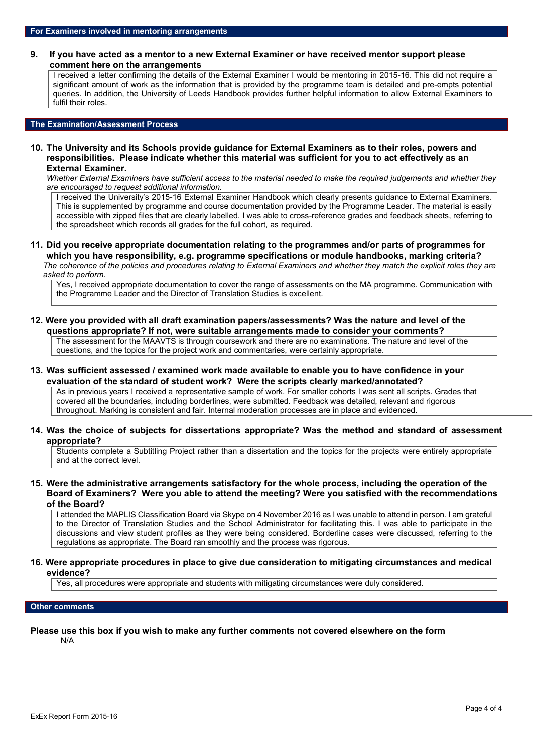#### **9. If you have acted as a mentor to a new External Examiner or have received mentor support please comment here on the arrangements**

I received a letter confirming the details of the External Examiner I would be mentoring in 2015-16. This did not require a significant amount of work as the information that is provided by the programme team is detailed and pre-empts potential queries. In addition, the University of Leeds Handbook provides further helpful information to allow External Examiners to fulfil their roles.

## **The Examination/Assessment Process**

**10. The University and its Schools provide guidance for External Examiners as to their roles, powers and responsibilities. Please indicate whether this material was sufficient for you to act effectively as an External Examiner.**

*Whether External Examiners have sufficient access to the material needed to make the required judgements and whether they are encouraged to request additional information.*

I received the University's 2015-16 External Examiner Handbook which clearly presents guidance to External Examiners. This is supplemented by programme and course documentation provided by the Programme Leader. The material is easily accessible with zipped files that are clearly labelled. I was able to cross-reference grades and feedback sheets, referring to the spreadsheet which records all grades for the full cohort, as required.

**11. Did you receive appropriate documentation relating to the programmes and/or parts of programmes for which you have responsibility, e.g. programme specifications or module handbooks, marking criteria?** *The coherence of the policies and procedures relating to External Examiners and whether they match the explicit roles they are asked to perform.* 

Yes, I received appropriate documentation to cover the range of assessments on the MA programme. Communication with the Programme Leader and the Director of Translation Studies is excellent.

**12. Were you provided with all draft examination papers/assessments? Was the nature and level of the questions appropriate? If not, were suitable arrangements made to consider your comments?**

The assessment for the MAAVTS is through coursework and there are no examinations. The nature and level of the questions, and the topics for the project work and commentaries, were certainly appropriate.

#### **13. Was sufficient assessed / examined work made available to enable you to have confidence in your evaluation of the standard of student work? Were the scripts clearly marked/annotated?**

As in previous years I received a representative sample of work. For smaller cohorts I was sent all scripts. Grades that covered all the boundaries, including borderlines, were submitted. Feedback was detailed, relevant and rigorous throughout. Marking is consistent and fair. Internal moderation processes are in place and evidenced.

#### **14. Was the choice of subjects for dissertations appropriate? Was the method and standard of assessment appropriate?**

Students complete a Subtitling Project rather than a dissertation and the topics for the projects were entirely appropriate and at the correct level.

**15. Were the administrative arrangements satisfactory for the whole process, including the operation of the Board of Examiners? Were you able to attend the meeting? Were you satisfied with the recommendations of the Board?**

I attended the MAPLIS Classification Board via Skype on 4 November 2016 as I was unable to attend in person. I am grateful to the Director of Translation Studies and the School Administrator for facilitating this. I was able to participate in the discussions and view student profiles as they were being considered. Borderline cases were discussed, referring to the regulations as appropriate. The Board ran smoothly and the process was rigorous.

#### **16. Were appropriate procedures in place to give due consideration to mitigating circumstances and medical evidence?**

Yes, all procedures were appropriate and students with mitigating circumstances were duly considered.

#### **Other comments**

## **Please use this box if you wish to make any further comments not covered elsewhere on the form**

N/A